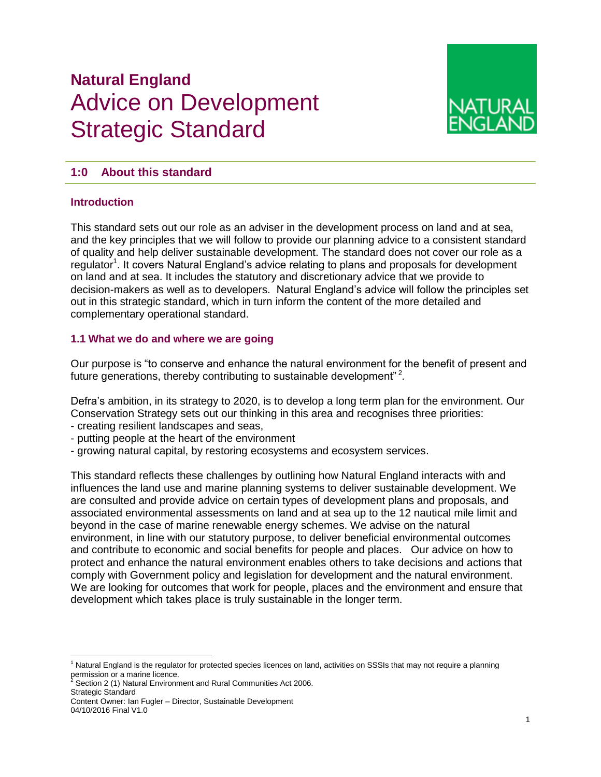# **Natural England**  Advice on Development Strategic Standard



# **1:0 About this standard**

#### **Introduction**

This standard sets out our role as an adviser in the development process on land and at sea, and the key principles that we will follow to provide our planning advice to a consistent standard of quality and help deliver sustainable development. The standard does not cover our role as a regulator<sup>1</sup>. It covers Natural England's advice relating to plans and proposals for development on land and at sea. It includes the statutory and discretionary advice that we provide to decision-makers as well as to developers. Natural England's advice will follow the principles set out in this strategic standard, which in turn inform the content of the more detailed and complementary operational standard.

#### **1.1 What we do and where we are going**

Our purpose is "to conserve and enhance the natural environment for the benefit of present and future generations, thereby contributing to sustainable development"<sup>2</sup>.

Defra's ambition, in its strategy to 2020, is to develop a long term plan for the environment. Our Conservation Strategy sets out our thinking in this area and recognises three priorities:

- creating resilient landscapes and seas,
- putting people at the heart of the environment
- growing natural capital, by restoring ecosystems and ecosystem services.

This standard reflects these challenges by outlining how Natural England interacts with and influences the land use and marine planning systems to deliver sustainable development. We are consulted and provide advice on certain types of development plans and proposals, and associated environmental assessments on land and at sea up to the 12 nautical mile limit and beyond in the case of marine renewable energy schemes. We advise on the natural environment, in line with our statutory purpose, to deliver beneficial environmental outcomes and contribute to economic and social benefits for people and places. Our advice on how to protect and enhance the natural environment enables others to take decisions and actions that comply with Government policy and legislation for development and the natural environment. We are looking for outcomes that work for people, places and the environment and ensure that development which takes place is truly sustainable in the longer term.

Strategic Standard

 $\overline{a}$ <sup>1</sup> Natural England is the regulator for protected species licences on land, activities on SSSIs that may not require a planning permission or a marine licence.<br><sup>2</sup> Section 2 (1) Natural Environment and Rural Communities Act 2006.

Content Owner: Ian Fugler – Director, Sustainable Development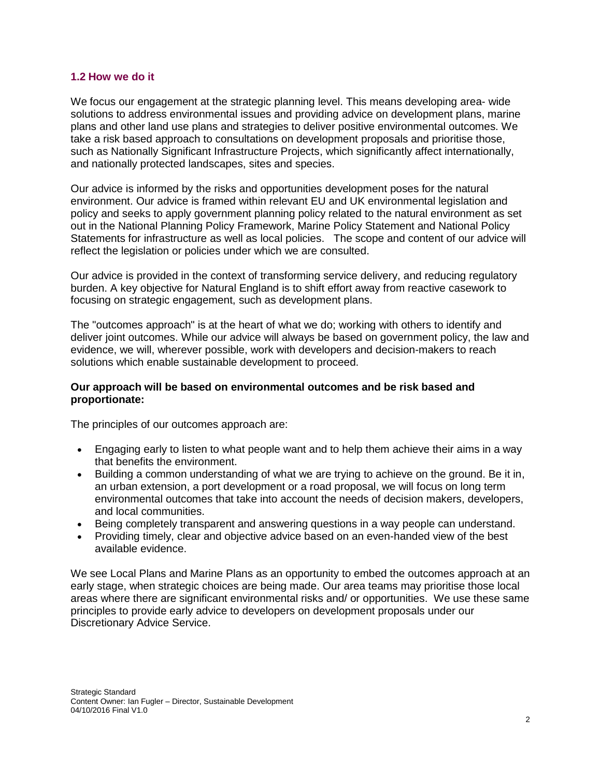#### **1.2 How we do it**

We focus our engagement at the strategic planning level. This means developing area- wide solutions to address environmental issues and providing advice on development plans, marine plans and other land use plans and strategies to deliver positive environmental outcomes. We take a risk based approach to consultations on development proposals and prioritise those, such as Nationally Significant Infrastructure Projects, which significantly affect internationally, and nationally protected landscapes, sites and species.

Our advice is informed by the risks and opportunities development poses for the natural environment. Our advice is framed within relevant EU and UK environmental legislation and policy and seeks to apply government planning policy related to the natural environment as set out in the National Planning Policy Framework, Marine Policy Statement and National Policy Statements for infrastructure as well as local policies. The scope and content of our advice will reflect the legislation or policies under which we are consulted.

Our advice is provided in the context of transforming service delivery, and reducing regulatory burden. A key objective for Natural England is to shift effort away from reactive casework to focusing on strategic engagement, such as development plans.

The "outcomes approach" is at the heart of what we do; working with others to identify and deliver joint outcomes. While our advice will always be based on government policy, the law and evidence, we will, wherever possible, work with developers and decision-makers to reach solutions which enable sustainable development to proceed.

#### **Our approach will be based on environmental outcomes and be risk based and proportionate:**

The principles of our outcomes approach are:

- Engaging early to listen to what people want and to help them achieve their aims in a way that benefits the environment.
- Building a common understanding of what we are trying to achieve on the ground. Be it in, an urban extension, a port development or a road proposal, we will focus on long term environmental outcomes that take into account the needs of decision makers, developers, and local communities.
- Being completely transparent and answering questions in a way people can understand.
- Providing timely, clear and objective advice based on an even-handed view of the best available evidence.

We see Local Plans and Marine Plans as an opportunity to embed the outcomes approach at an early stage, when strategic choices are being made. Our area teams may prioritise those local areas where there are significant environmental risks and/ or opportunities. We use these same principles to provide early advice to developers on development proposals under our Discretionary Advice Service.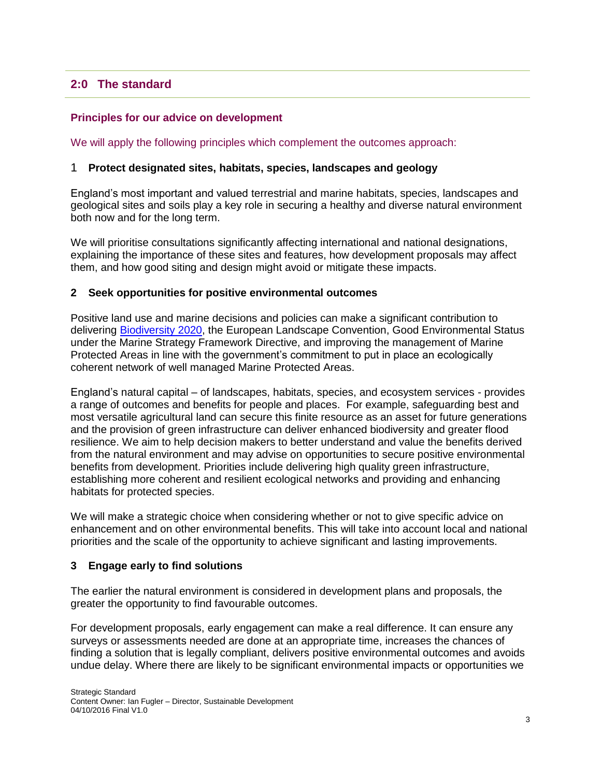# **2:0 The standard**

#### **Principles for our advice on development**

We will apply the following principles which complement the outcomes approach:

#### 1 **Protect designated sites, habitats, species, landscapes and geology**

England's most important and valued terrestrial and marine habitats, species, landscapes and geological sites and soils play a key role in securing a healthy and diverse natural environment both now and for the long term.

We will prioritise consultations significantly affecting international and national designations, explaining the importance of these sites and features, how development proposals may affect them, and how good siting and design might avoid or mitigate these impacts.

#### **2 Seek opportunities for positive environmental outcomes**

Positive land use and marine decisions and policies can make a significant contribution to delivering [Biodiversity 2020,](https://www.gov.uk/government/publications/biodiversity-2020-a-strategy-for-england-s-wildlife-and-ecosystem-services) the European Landscape Convention, Good Environmental Status under the Marine Strategy Framework Directive, and improving the management of Marine Protected Areas in line with the government's commitment to put in place an ecologically coherent network of well managed Marine Protected Areas.

England's natural capital – of landscapes, habitats, species, and ecosystem services - provides a range of outcomes and benefits for people and places. For example, safeguarding best and most versatile agricultural land can secure this finite resource as an asset for future generations and the provision of green infrastructure can deliver enhanced biodiversity and greater flood resilience. We aim to help decision makers to better understand and value the benefits derived from the natural environment and may advise on opportunities to secure positive environmental benefits from development. Priorities include delivering high quality green infrastructure, establishing more coherent and resilient ecological networks and providing and enhancing habitats for protected species.

We will make a strategic choice when considering whether or not to give specific advice on enhancement and on other environmental benefits. This will take into account local and national priorities and the scale of the opportunity to achieve significant and lasting improvements.

#### **3 Engage early to find solutions**

The earlier the natural environment is considered in development plans and proposals, the greater the opportunity to find favourable outcomes.

For development proposals, early engagement can make a real difference. It can ensure any surveys or assessments needed are done at an appropriate time, increases the chances of finding a solution that is legally compliant, delivers positive environmental outcomes and avoids undue delay. Where there are likely to be significant environmental impacts or opportunities we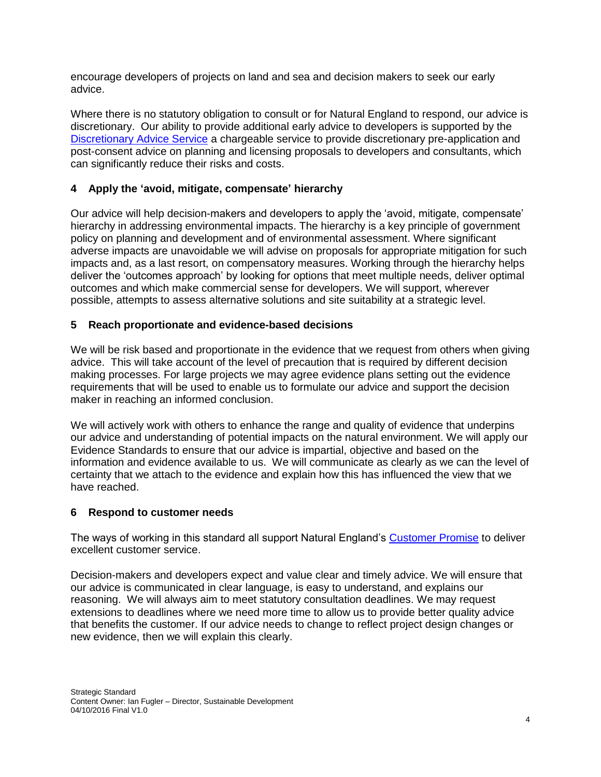encourage developers of projects on land and sea and decision makers to seek our early advice.

Where there is no statutory obligation to consult or for Natural England to respond, our advice is discretionary. Our ability to provide additional early advice to developers is supported by the [Discretionary Advice Service](https://www.gov.uk/guidance/developers-get-environmental-advice-on-your-planning-proposals) a chargeable service to provide discretionary pre-application and post-consent advice on planning and licensing proposals to developers and consultants, which can significantly reduce their risks and costs.

## **4 Apply the 'avoid, mitigate, compensate' hierarchy**

Our advice will help decision-makers and developers to apply the 'avoid, mitigate, compensate' hierarchy in addressing environmental impacts. The hierarchy is a key principle of government policy on planning and development and of environmental assessment. Where significant adverse impacts are unavoidable we will advise on proposals for appropriate mitigation for such impacts and, as a last resort, on compensatory measures. Working through the hierarchy helps deliver the 'outcomes approach' by looking for options that meet multiple needs, deliver optimal outcomes and which make commercial sense for developers. We will support, wherever possible, attempts to assess alternative solutions and site suitability at a strategic level.

#### **5 Reach proportionate and evidence-based decisions**

We will be risk based and proportionate in the evidence that we request from others when giving advice. This will take account of the level of precaution that is required by different decision making processes. For large projects we may agree evidence plans setting out the evidence requirements that will be used to enable us to formulate our advice and support the decision maker in reaching an informed conclusion.

We will actively work with others to enhance the range and quality of evidence that underpins our advice and understanding of potential impacts on the natural environment. We will apply our Evidence Standards to ensure that our advice is impartial, objective and based on the information and evidence available to us. We will communicate as clearly as we can the level of certainty that we attach to the evidence and explain how this has influenced the view that we have reached.

#### **6 Respond to customer needs**

The ways of working in this standard all support Natural England's [Customer Promise](https://www.gov.uk/government/organisations/natural-england/about/about-our-services) to deliver excellent customer service.

Decision-makers and developers expect and value clear and timely advice. We will ensure that our advice is communicated in clear language, is easy to understand, and explains our reasoning. We will always aim to meet statutory consultation deadlines. We may request extensions to deadlines where we need more time to allow us to provide better quality advice that benefits the customer. If our advice needs to change to reflect project design changes or new evidence, then we will explain this clearly.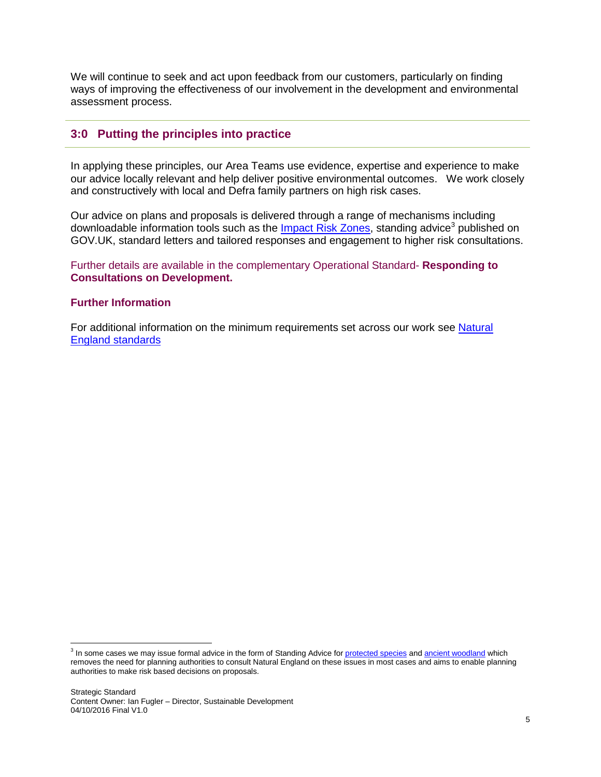We will continue to seek and act upon feedback from our customers, particularly on finding ways of improving the effectiveness of our involvement in the development and environmental assessment process.

## **3:0 Putting the principles into practice**

In applying these principles, our Area Teams use evidence, expertise and experience to make our advice locally relevant and help deliver positive environmental outcomes. We work closely and constructively with local and Defra family partners on high risk cases.

Our advice on plans and proposals is delivered through a range of mechanisms including downloadable information tools such as the *Impact Risk Zones*, standing advice<sup>3</sup> published on GOV.UK, standard letters and tailored responses and engagement to higher risk consultations.

Further details are available in the complementary Operational Standard- **Responding to Consultations on Development.**

#### **Further Information**

For additional information on the minimum requirements set across our work see Natural [England standards](http://publications.naturalengland.org.uk/category/3769710)

<sup>&</sup>lt;sup>3</sup> In some cases we may issue formal advice in the form of Standing Advice for <u>protected species</u> and <u>ancient woodland</u> which removes the need for planning authorities to consult Natural England on these issues in most cases and aims to enable planning authorities to make risk based decisions on proposals.